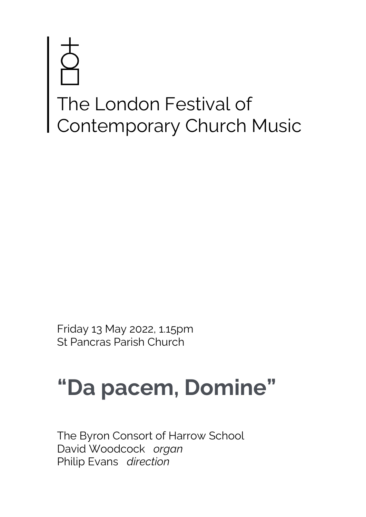# The London Festival of Contemporary Church Music

Friday 13 May 2022, 1.15pm St Pancras Parish Church

## **"Da pacem, Domine"**

The Byron Consort of Harrow School David Woodcock *organ* Philip Evans *direction*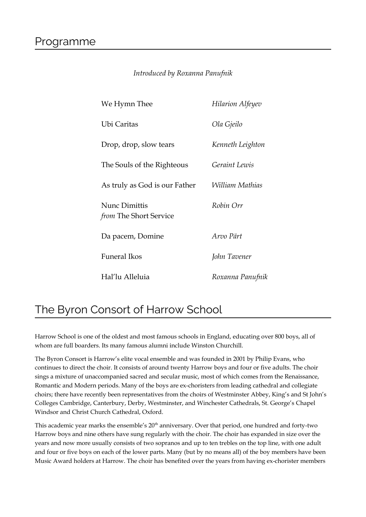#### *Introduced by Roxanna Panufnik*

| We Hymn Thee                                   | Hilarion Alfeyev |
|------------------------------------------------|------------------|
| Ubi Caritas                                    | Ola Gjeilo       |
| Drop, drop, slow tears                         | Kenneth Leighton |
| The Souls of the Righteous                     | Geraint Lewis    |
| As truly as God is our Father                  | William Mathias  |
| <b>Nunc Dimittis</b><br>from The Short Service | Robin Orr        |
| Da pacem, Domine                               | Arvo Pärt        |
| <b>Funeral Ikos</b>                            | John Tavener     |
| Hal'lu Alleluia                                | Roxanna Panufnik |

### The Byron Consort of Harrow School

Harrow School is one of the oldest and most famous schools in England, educating over 800 boys, all of whom are full boarders. Its many famous alumni include Winston Churchill.

The Byron Consort is Harrow's elite vocal ensemble and was founded in 2001 by Philip Evans, who continues to direct the choir. It consists of around twenty Harrow boys and four or five adults. The choir sings a mixture of unaccompanied sacred and secular music, most of which comes from the Renaissance, Romantic and Modern periods. Many of the boys are ex-choristers from leading cathedral and collegiate choirs; there have recently been representatives from the choirs of Westminster Abbey, King's and St John's Colleges Cambridge, Canterbury, Derby, Westminster, and Winchester Cathedrals, St. George's Chapel Windsor and Christ Church Cathedral, Oxford.

This academic year marks the ensemble's 20<sup>th</sup> anniversary. Over that period, one hundred and forty-two Harrow boys and nine others have sung regularly with the choir. The choir has expanded in size over the years and now more usually consists of two sopranos and up to ten trebles on the top line, with one adult and four or five boys on each of the lower parts. Many (but by no means all) of the boy members have been Music Award holders at Harrow. The choir has benefited over the years from having ex-chorister members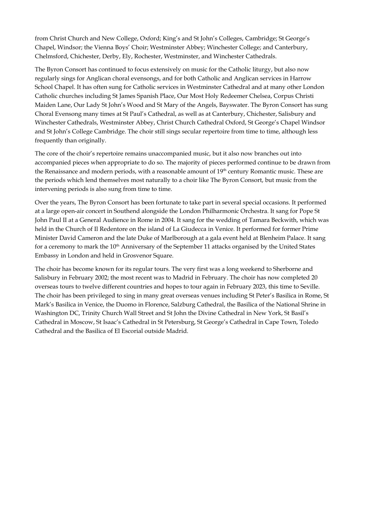from Christ Church and New College, Oxford; King's and St John's Colleges, Cambridge; St George's Chapel, Windsor; the Vienna Boys' Choir; Westminster Abbey; Winchester College; and Canterbury, Chelmsford, Chichester, Derby, Ely, Rochester, Westminster, and Winchester Cathedrals.

The Byron Consort has continued to focus extensively on music for the Catholic liturgy, but also now regularly sings for Anglican choral evensongs, and for both Catholic and Anglican services in Harrow School Chapel. It has often sung for Catholic services in Westminster Cathedral and at many other London Catholic churches including St James Spanish Place, Our Most Holy Redeemer Chelsea, Corpus Christi Maiden Lane, Our Lady St John's Wood and St Mary of the Angels, Bayswater. The Byron Consort has sung Choral Evensong many times at St Paul's Cathedral, as well as at Canterbury, Chichester, Salisbury and Winchester Cathedrals, Westminster Abbey, Christ Church Cathedral Oxford, St George's Chapel Windsor and St John's College Cambridge. The choir still sings secular repertoire from time to time, although less frequently than originally.

The core of the choir's repertoire remains unaccompanied music, but it also now branches out into accompanied pieces when appropriate to do so. The majority of pieces performed continue to be drawn from the Renaissance and modern periods, with a reasonable amount of 19<sup>th</sup> century Romantic music. These are the periods which lend themselves most naturally to a choir like The Byron Consort, but music from the intervening periods is also sung from time to time.

Over the years, The Byron Consort has been fortunate to take part in several special occasions. It performed at a large open-air concert in Southend alongside the London Philharmonic Orchestra. It sang for Pope St John Paul II at a General Audience in Rome in 2004. It sang for the wedding of Tamara Beckwith, which was held in the Church of Il Redentore on the island of La Giudecca in Venice. It performed for former Prime Minister David Cameron and the late Duke of Marlborough at a gala event held at Blenheim Palace. It sang for a ceremony to mark the  $10<sup>th</sup>$  Anniversary of the September 11 attacks organised by the United States Embassy in London and held in Grosvenor Square.

The choir has become known for its regular tours. The very first was a long weekend to Sherborne and Salisbury in February 2002; the most recent was to Madrid in February. The choir has now completed 20 overseas tours to twelve different countries and hopes to tour again in February 2023, this time to Seville. The choir has been privileged to sing in many great overseas venues including St Peter's Basilica in Rome, St Mark's Basilica in Venice, the Duomo in Florence, Salzburg Cathedral, the Basilica of the National Shrine in Washington DC, Trinity Church Wall Street and St John the Divine Cathedral in New York, St Basil's Cathedral in Moscow, St Isaac's Cathedral in St Petersburg, St George's Cathedral in Cape Town, Toledo Cathedral and the Basilica of El Escorial outside Madrid.